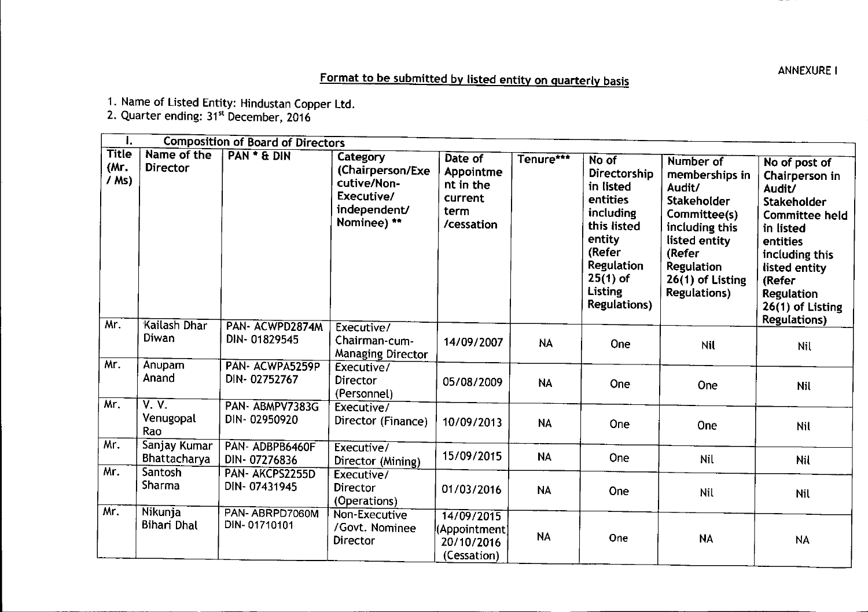## ANNEXUREI

## Format to be submitted by listed entity on quarterly basis

1. Name of Listed Entity: Hindustan Copper Ltd.

2. Quarter ending: 31<sup>st</sup> December, 2016

| ł.                              |                              | <b>Composition of Board of Directors</b> |                                                                                                 |                                                                    |           |                                                                                                                                                              |                                                                                                                                                                                   |                                                                                                                                                                                                                          |
|---------------------------------|------------------------------|------------------------------------------|-------------------------------------------------------------------------------------------------|--------------------------------------------------------------------|-----------|--------------------------------------------------------------------------------------------------------------------------------------------------------------|-----------------------------------------------------------------------------------------------------------------------------------------------------------------------------------|--------------------------------------------------------------------------------------------------------------------------------------------------------------------------------------------------------------------------|
| <b>Title</b><br>(Mr.<br>$/$ Ms) | Name of the<br>Director      | PAN * & DIN                              | <b>Category</b><br>(Chairperson/Exe<br>cutive/Non-<br>Executive/<br>independent/<br>Nominee) ** | Date of<br>Appointme<br>nt in the<br>current<br>term<br>/cessation | Tenure*** | No of<br>Directorship<br>in listed<br>entities<br>including<br>this listed<br>entity<br>(Refer<br>Regulation<br>$25(1)$ of<br>Listing<br><b>Regulations)</b> | Number of<br>memberships in<br>Audit/<br>Stakeholder<br>Committee(s)<br>including this<br>listed entity<br>(Refer<br><b>Regulation</b><br>26(1) of Listing<br><b>Regulations)</b> | No of post of<br>Chairperson in<br>Audit/<br>Stakeholder<br><b>Committee held</b><br>in listed<br>entities<br>including this<br>listed entity<br>(Refer<br><b>Regulation</b><br>26(1) of Listing<br><b>Regulations</b> ) |
| Mr.                             | Kailash Dhar<br>Diwan        | PAN- ACWPD2874M<br>DIN-01829545          | Executive/<br>Chairman-cum-<br><b>Managing Director</b>                                         | 14/09/2007                                                         | <b>NA</b> | One                                                                                                                                                          | Nil                                                                                                                                                                               | Nil                                                                                                                                                                                                                      |
| Mr.                             | Anupam<br>Anand              | PAN- ACWPA5259P<br>DIN-02752767          | Executive/<br><b>Director</b><br>(Personnel)                                                    | 05/08/2009                                                         | <b>NA</b> | One                                                                                                                                                          | One                                                                                                                                                                               | Nil                                                                                                                                                                                                                      |
| Mr.                             | V. V.<br>Venugopal<br>Rao    | PAN-ABMPV7383G<br>DIN-02950920           | Executive/<br>Director (Finance)                                                                | 10/09/2013                                                         | <b>NA</b> | One                                                                                                                                                          | One                                                                                                                                                                               | <b>Nil</b>                                                                                                                                                                                                               |
| Mr.                             | Sanjay Kumar<br>Bhattacharya | PAN-ADBPB6460F<br>DIN-07276836           | Executive/<br>Director (Mining)                                                                 | 15/09/2015                                                         | <b>NA</b> | One                                                                                                                                                          | Nil                                                                                                                                                                               | Nil                                                                                                                                                                                                                      |
| Mr.                             | Santosh<br>Sharma            | PAN-AKCPS2255D<br>DIN-07431945           | Executive/<br>Director<br>(Operations)                                                          | 01/03/2016                                                         | <b>NA</b> | One                                                                                                                                                          | <b>Nil</b>                                                                                                                                                                        | <b>Nil</b>                                                                                                                                                                                                               |
| Mr.                             | Nikunja<br>Bihari Dhal       | PAN-ABRPD7060M<br>DIN-01710101           | Non-Executive<br>/Govt. Nominee<br>Director                                                     | 14/09/2015<br>(Appointment)<br>20/10/2016<br>(Cessation)           | <b>NA</b> | One                                                                                                                                                          | <b>NA</b>                                                                                                                                                                         | <b>NA</b>                                                                                                                                                                                                                |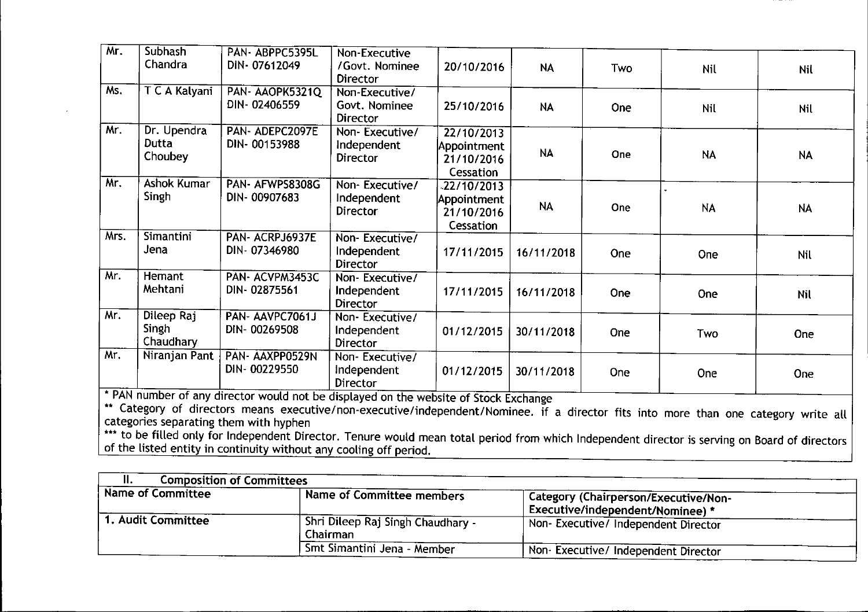| Chandra<br>DIN-07612049<br>/Govt. Nominee<br>20/10/2016<br><b>NA</b><br>Two<br>Nil<br><b>Director</b><br>Ms.<br>T C A Kalyani<br>PAN-AAOPK5321Q<br>Non-Executive/<br>DIN-02406559<br>Govt. Nominee<br>25/10/2016<br><b>NA</b><br>One<br>Nil<br><b>Director</b><br>Mr.<br>Dr. Upendra<br>PAN- ADEPC2097E<br>Non-Executive/<br>22/10/2013<br>Dutta<br>DIN-00153988<br>Independent<br>Appointment<br><b>NA</b><br>One<br><b>NA</b><br>Choubey<br><b>Director</b><br>21/10/2016<br>Cessation<br>Mr.<br>Ashok Kumar<br>PAN- AFWPS8308G<br>Non-Executive/<br>$-22/10/2013$<br>Singh<br>DIN-00907683<br>Independent<br>Appointment<br><b>NA</b><br>One<br><b>NA</b><br>Director<br>21/10/2016<br>Cessation<br>Mrs.<br>Simantini<br>PAN-ACRPJ6937E<br>Non-Executive/<br>Jena<br>DIN-07346980<br>Independent<br>17/11/2015<br>16/11/2018<br>One<br>One<br><b>Director</b><br>Mr.<br>Hemant<br>PAN- ACVPM3453C<br>Non-Executive/<br>Mehtani<br>DIN-02875561<br>Independent<br>17/11/2015<br>16/11/2018<br><b>One</b><br><b>One</b><br><b>Director</b><br>Mr. | Mr. | Subhash    | PAN-ABPPC5395L  | Non-Executive  |  |  |            |
|----------------------------------------------------------------------------------------------------------------------------------------------------------------------------------------------------------------------------------------------------------------------------------------------------------------------------------------------------------------------------------------------------------------------------------------------------------------------------------------------------------------------------------------------------------------------------------------------------------------------------------------------------------------------------------------------------------------------------------------------------------------------------------------------------------------------------------------------------------------------------------------------------------------------------------------------------------------------------------------------------------------------------------------------------|-----|------------|-----------------|----------------|--|--|------------|
|                                                                                                                                                                                                                                                                                                                                                                                                                                                                                                                                                                                                                                                                                                                                                                                                                                                                                                                                                                                                                                                    |     |            |                 |                |  |  | Nil        |
|                                                                                                                                                                                                                                                                                                                                                                                                                                                                                                                                                                                                                                                                                                                                                                                                                                                                                                                                                                                                                                                    |     |            |                 |                |  |  | Nil        |
|                                                                                                                                                                                                                                                                                                                                                                                                                                                                                                                                                                                                                                                                                                                                                                                                                                                                                                                                                                                                                                                    |     |            |                 |                |  |  | <b>NA</b>  |
|                                                                                                                                                                                                                                                                                                                                                                                                                                                                                                                                                                                                                                                                                                                                                                                                                                                                                                                                                                                                                                                    |     |            |                 |                |  |  | <b>NA</b>  |
|                                                                                                                                                                                                                                                                                                                                                                                                                                                                                                                                                                                                                                                                                                                                                                                                                                                                                                                                                                                                                                                    |     |            |                 |                |  |  | Nil        |
|                                                                                                                                                                                                                                                                                                                                                                                                                                                                                                                                                                                                                                                                                                                                                                                                                                                                                                                                                                                                                                                    |     |            |                 |                |  |  | <b>Nil</b> |
| Singh<br>DIN-00269508<br>Independent<br>01/12/2015<br>30/11/2018<br>One<br>Two<br>Chaudhary<br><b>Director</b>                                                                                                                                                                                                                                                                                                                                                                                                                                                                                                                                                                                                                                                                                                                                                                                                                                                                                                                                     |     | Dileep Raj | PAN- AAVPC7061J | Non-Executive/ |  |  | <b>One</b> |
| Mr.<br>Niranjan Pant<br>PAN-AAXPP0529N<br>Non-Executive/<br>DIN-00229550<br>Independent<br>01/12/2015<br>30/11/2018<br><b>One</b><br><b>One</b><br><b>Director</b><br>* PAN number of any director would not be displayed on the website of Stock Exchange                                                                                                                                                                                                                                                                                                                                                                                                                                                                                                                                                                                                                                                                                                                                                                                         |     |            |                 |                |  |  | One        |

•• Category of directors means executive/non-executive/independent/Nominee. if a director fits into more than one category write all categories separating them with hyphen

Fig. to be filled only for Independent Director. Tenure would mean total period from which Independent director is serving on Board of director of the listed entity in continuity without any cooling off period

| <b>Composition of Committees</b>   |                                               |                                                                          |  |
|------------------------------------|-----------------------------------------------|--------------------------------------------------------------------------|--|
| Name of Committee                  | Name of Committee members                     | Category (Chairperson/Executive/Non-<br>Executive/independent/Nominee) * |  |
| $\mid$ 1. Audit Committee $\bar{}$ | Shri Dileep Raj Singh Chaudhary -<br>Chairman | Non- Executive/ Independent Director                                     |  |
|                                    | Bont Simantini Jena - Member                  | Non-Executive/Independent Director                                       |  |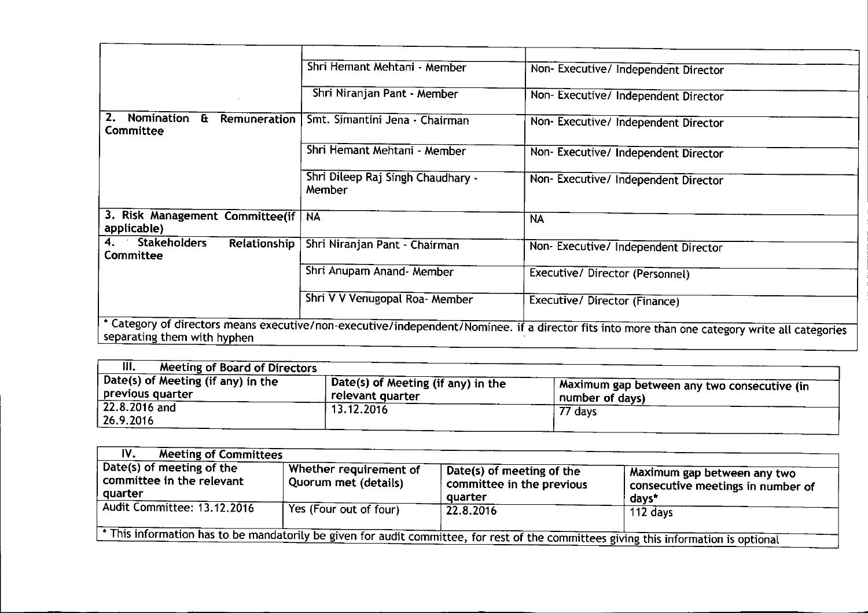|                                                               | Shri Hemant Mehtani - Member                | Non- Executive/ Independent Director                                                                                                           |
|---------------------------------------------------------------|---------------------------------------------|------------------------------------------------------------------------------------------------------------------------------------------------|
|                                                               | Shri Niranjan Pant - Member                 | Non-Executive/Independent Director                                                                                                             |
| Nomination<br>2.<br>$\mathbf{H}$<br>Remuneration<br>Committee | Smt. Simantini Jena - Chairman              | Non-Executive/Independent Director                                                                                                             |
|                                                               | Shri Hemant Mehtani - Member                | Non-Executive/Independent Director                                                                                                             |
|                                                               | Shri Dileep Raj Singh Chaudhary -<br>Member | Non- Executive/ Independent Director                                                                                                           |
| 3. Risk Management Committee(if<br>applicable)                | <b>NA</b>                                   | <b>NA</b>                                                                                                                                      |
| <b>Stakeholders</b><br>4.<br><b>Relationship</b><br>Committee | Shri Niranjan Pant - Chairman               | Non- Executive/ Independent Director                                                                                                           |
|                                                               | Shri Anupam Anand- Member                   | Executive/ Director (Personnel)                                                                                                                |
|                                                               | Shri V V Venugopal Roa- Member              | <b>Executive/ Director (Finance)</b>                                                                                                           |
| separating them with hyphen                                   |                                             | * Category of directors means executive/non-executive/independent/Nominee. if a director fits into more than one category write all categories |

| III.<br>Meeting of Board of Directors                    |                                                                      |                                                                  |
|----------------------------------------------------------|----------------------------------------------------------------------|------------------------------------------------------------------|
| , Date(s) of Meeting (if any) in the<br>previous quarter | $\frac{1}{2}$ Date(s) of Meeting (if any) in the<br>relevant quarter | A Maximum gap between any two consecutive (in<br>number of days) |
| $  22.8.2016$ and<br>26.9.2016                           | 13.12.2016                                                           | 77 days                                                          |

| IV.<br><b>Meeting of Committees</b>                               |                                                |                                                                                                         |                                                                                                                                     |
|-------------------------------------------------------------------|------------------------------------------------|---------------------------------------------------------------------------------------------------------|-------------------------------------------------------------------------------------------------------------------------------------|
| Date(s) of meeting of the<br>committee in the relevant<br>quarter | Whether requirement of<br>Quorum met (details) | , Date(s) of meeting of the $\overline{\phantom{a}}$<br>$\epsilon$ committee in the previous<br>quarter | Aaximum gap between any two<br>consecutive meetings in number of<br>days*                                                           |
| <b>Audit Committee: 13.12.2016</b>                                | Yes (Four out of four)                         | 22.8.2016                                                                                               | 112 days                                                                                                                            |
|                                                                   |                                                |                                                                                                         | This information has to be mandatorily be given for audit committee, for rest of the committees giving this information is optional |